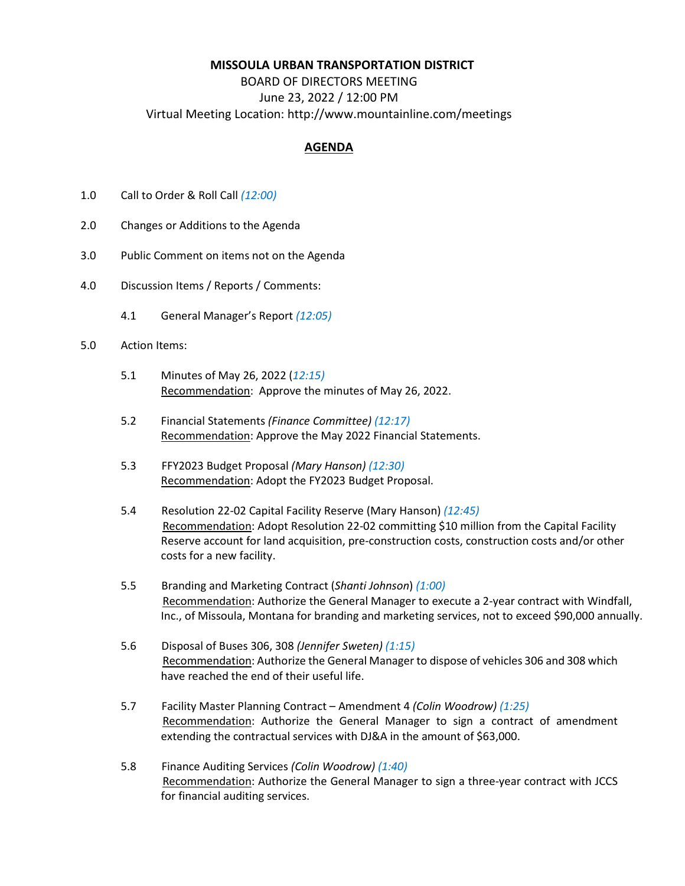## **MISSOULA URBAN TRANSPORTATION DISTRICT**

## BOARD OF DIRECTORS MEETING June 23, 2022 / 12:00 PM Virtual Meeting Location: http://www.mountainline.com/meetings

## **AGENDA**

- 1.0 Call to Order & Roll Call *(12:00)*
- 2.0 Changes or Additions to the Agenda
- 3.0 Public Comment on items not on the Agenda
- 4.0 Discussion Items / Reports / Comments:
	- 4.1 General Manager's Report *(12:05)*
- 5.0 Action Items:
	- 5.1 Minutes of May 26, 2022 (*12:15)* Recommendation: Approve the minutes of May 26, 2022.
	- 5.2 Financial Statements *(Finance Committee) (12:17)* Recommendation: Approve the May 2022 Financial Statements.
	- 5.3 FFY2023 Budget Proposal *(Mary Hanson) (12:30)* Recommendation: Adopt the FY2023 Budget Proposal.
	- 5.4 Resolution 22-02 Capital Facility Reserve (Mary Hanson) *(12:45)* Recommendation: Adopt Resolution 22-02 committing \$10 million from the Capital Facility Reserve account for land acquisition, pre-construction costs, construction costs and/or other costs for a new facility.
	- 5.5 Branding and Marketing Contract (*Shanti Johnson*) *(1:00)* Recommendation: Authorize the General Manager to execute a 2-year contract with Windfall, Inc., of Missoula, Montana for branding and marketing services, not to exceed \$90,000 annually.
	- 5.6 Disposal of Buses 306, 308 *(Jennifer Sweten) (1:15)* Recommendation: Authorize the General Manager to dispose of vehicles 306 and 308 which have reached the end of their useful life.
	- 5.7 Facility Master Planning Contract Amendment 4 *(Colin Woodrow) (1:25)* Recommendation: Authorize the General Manager to sign a contract of amendment extending the contractual services with DJ&A in the amount of \$63,000.
	- 5.8 Finance Auditing Services *(Colin Woodrow) (1:40)* Recommendation: Authorize the General Manager to sign a three-year contract with JCCS for financial auditing services.